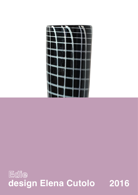

## Edie **design Elena Cutolo 2016**